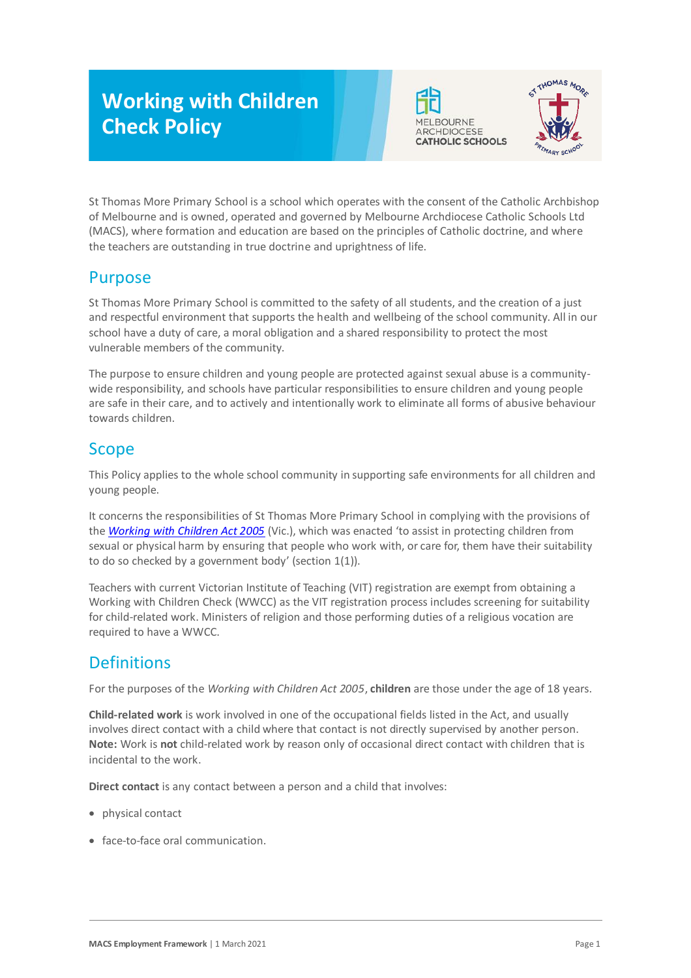# **Working with Children Check Policy**





St Thomas More Primary School is a school which operates with the consent of the Catholic Archbishop of Melbourne and is owned, operated and governed by Melbourne Archdiocese Catholic Schools Ltd (MACS), where formation and education are based on the principles of Catholic doctrine, and where the teachers are outstanding in true doctrine and uprightness of life.

## Purpose

St Thomas More Primary School is committed to the safety of all students, and the creation of a just and respectful environment that supports the health and wellbeing of the school community. All in our school have a duty of care, a moral obligation and a shared responsibility to protect the most vulnerable members of the community.

The purpose to ensure children and young people are protected against sexual abuse is a communitywide responsibility, and schools have particular responsibilities to ensure children and young people are safe in their care, and to actively and intentionally work to eliminate all forms of abusive behaviour towards children.

## Scope

This Policy applies to the whole school community in supporting safe environments for all children and young people.

It concerns the responsibilities of St Thomas More Primary School in complying with the provisions of the *[Working with Children Act 2005](https://www.legislation.vic.gov.au/as-made/acts/working-children-act-2005)* (Vic.), which was enacted 'to assist in protecting children from sexual or physical harm by ensuring that people who work with, or care for, them have their suitability to do so checked by a government body' (section 1(1)).

Teachers with current Victorian Institute of Teaching (VIT) registration are exempt from obtaining a Working with Children Check (WWCC) as the VIT registration process includes screening for suitability for child-related work. Ministers of religion and those performing duties of a religious vocation are required to have a WWCC.

## **Definitions**

For the purposes of the *Working with Children Act 2005*, **children** are those under the age of 18 years.

**Child-related work** is work involved in one of the occupational fields listed in the Act, and usually involves direct contact with a child where that contact is not directly supervised by another person. **Note:** Work is **not** child-related work by reason only of occasional direct contact with children that is incidental to the work.

**Direct contact** is any contact between a person and a child that involves:

- physical contact
- face-to-face oral communication.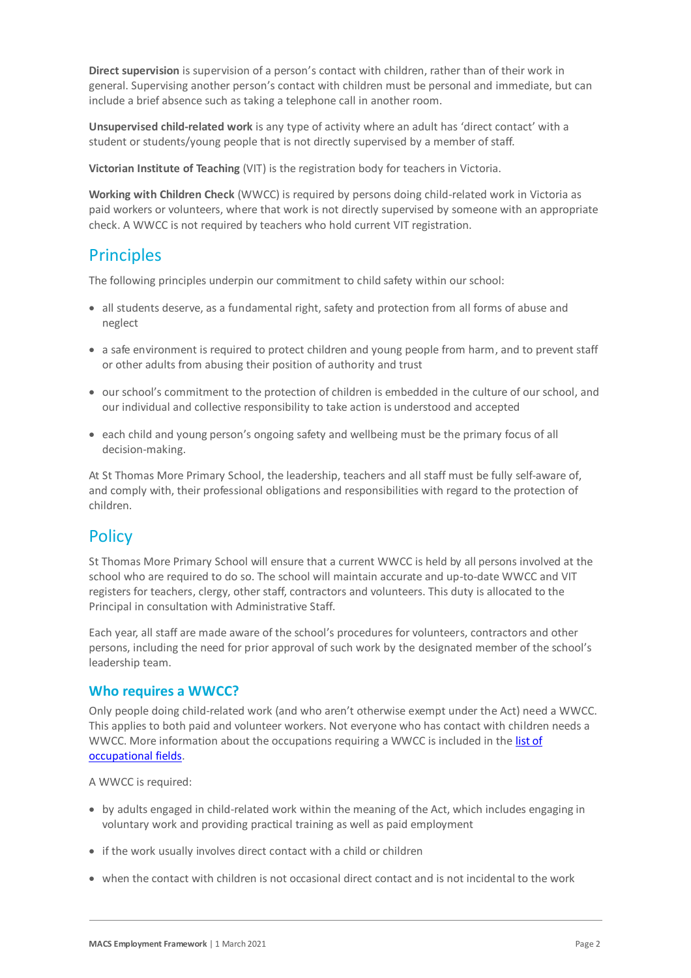**Direct supervision** is supervision of a person's contact with children, rather than of their work in general. Supervising another person's contact with children must be personal and immediate, but can include a brief absence such as taking a telephone call in another room.

**Unsupervised child-related work** is any type of activity where an adult has 'direct contact' with a student or students/young people that is not directly supervised by a member of staff.

**Victorian Institute of Teaching** (VIT) is the registration body for teachers in Victoria.

**Working with Children Check** (WWCC) is required by persons doing child-related work in Victoria as paid workers or volunteers, where that work is not directly supervised by someone with an appropriate check. A WWCC is not required by teachers who hold current VIT registration.

### **Principles**

The following principles underpin our commitment to child safety within our school:

- all students deserve, as a fundamental right, safety and protection from all forms of abuse and neglect
- a safe environment is required to protect children and young people from harm, and to prevent staff or other adults from abusing their position of authority and trust
- our school's commitment to the protection of children is embedded in the culture of our school, and our individual and collective responsibility to take action is understood and accepted
- each child and young person's ongoing safety and wellbeing must be the primary focus of all decision-making.

At St Thomas More Primary School, the leadership, teachers and all staff must be fully self-aware of, and comply with, their professional obligations and responsibilities with regard to the protection of children.

## **Policy**

St Thomas More Primary School will ensure that a current WWCC is held by all persons involved at the school who are required to do so. The school will maintain accurate and up-to-date WWCC and VIT registers for teachers, clergy, other staff, contractors and volunteers. This duty is allocated to the Principal in consultation with Administrative Staff.

Each year, all staff are made aware of the school's procedures for volunteers, contractors and other persons, including the need for prior approval of such work by the designated member of the school's leadership team.

#### **Who requires a WWCC?**

Only people doing child-related work (and who aren't otherwise exempt under the Act) need a WWCC. This applies to both paid and volunteer workers. Not everyone who has contact with children needs a WWCC. More information about the occupations requiring a WWCC is included in th[e list of](https://www.workingwithchildren.vic.gov.au/about-the-check/resources/list-of-occupational-fields)  [occupational fields.](https://www.workingwithchildren.vic.gov.au/about-the-check/resources/list-of-occupational-fields)

A WWCC is required:

- by adults engaged in child-related work within the meaning of the Act, which includes engaging in voluntary work and providing practical training as well as paid employment
- if the work usually involves direct contact with a child or children
- when the contact with children is not occasional direct contact and is not incidental to the work